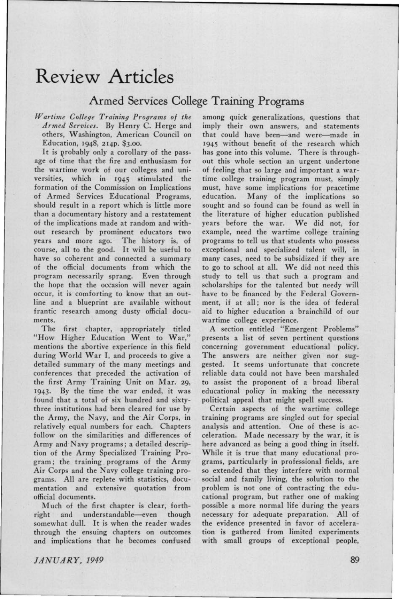# **Review- Articles**

## **Armed Services College Training Programs**

#### *Wartime College Training Programs of the Armed Services.* By Henry C. Herge and others, Washington, American Council on Education, 1948, 214p. \$3.00.

It is probably only a corollary of the passage of time that the fire and enthusiasm for the wartime work of our colleges and universities, which in 1945 stimulated the formation of the Commission on Implications of Armed Services Educational Programs, should result in a report which is little more than a documentary history and a restatement of the implications made at random and without research by prominent educators two years and more ago. The history is, of course, all to the good. It will be useful to have so coherent and connected a summary of the official documents from which the program necessarily sprang. Even through the hope that the occasion will never again occur, it is comforting to know that an outline and a blueprint are available without frantic research among dusty official documents.

The first chapter, appropriately titled "How Higher Education Went to War," mentions the abortive experience in this field during World War I, and proceeds to give a detailed summary of the many meetings and conferences that preceded the activation of the first Army Training Unit on Mar. 29, 1943. By the time the war ended, it was found that a total of six hundred and sixtythree institutions had been cleared for use by the Army, the Navy, and the Air Corps, in relatively equal numbers for each. Chapters follow on the similarities and differences of Army and Navy programs; a detailed description of the Army Specialized Training Program; the . training programs of the Army Air Corps and the Navy college training programs. All are replete with statistics, documentation and extensive quotation from official documents.

Much of the first chapter is clear, forthright and understandable-even though somewhat dull. It is when the reader wades through the ensuing chapters on outcomes and implications that he becomes confused

JANUARY, 1949

among quick generalizations, questions that imply their own answers, and statements that could have been-and were-made in 1945 without benefit of the research which has gone into this volume. There is throughout this whole section an urgent undertone of feeling that so large and important a wartime college training program must, simply must, have some implications for peacetime education. Many of the implications so sought and so found can be found as well in the literature of higher education published years before the war. We did not, for example, need the wartime college training programs to tell us that students who possess exceptional and specialized talent will, in many cases, need to be subsidized if they are to go to school at alL We did not need this study to tell us that such a program and scholarships for the talented but needy will have to be financed by the Federal Government, if at all; nor is the idea of federal aid to higher education a brainchild of our wartime college experience.

A section entitled "Emergent Problems" presents a list of seven pertinent questions concerning government educational policy. The answers are neither given nor suggested. It seems unfortunate that concrete reliable data could not have been marshaled to assist the proponent of a broad liberal educational policy in making the necessary political appeal that might spell success.

Certain aspects of the wartime college training programs are singled out for special analysis and attention. One of these is acceleration. Made necessary by the war, it is here advanced as being a good thing in itself. While it is true that many educational programs, particularly in professional fields, are so extended that they interfere with normal social and family living, the solution to the problem is not one of contracting the educational program, but rather one of making possible a more normal life during the years necessary for adequate preparation. All of the evidence presented in favor of acceleration is gathered from limited experiments with small groups of exceptional people,